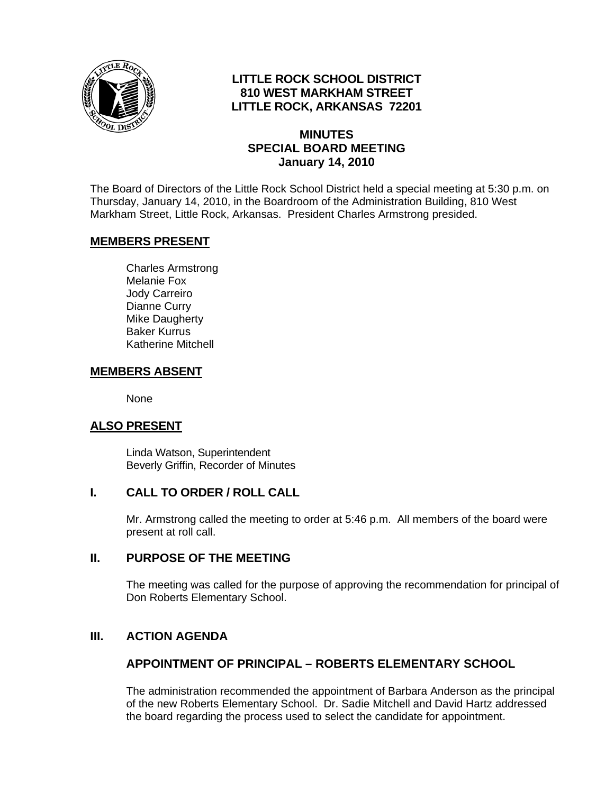

# **LITTLE ROCK SCHOOL DISTRICT 810 WEST MARKHAM STREET LITTLE ROCK, ARKANSAS 72201**

### **MINUTES SPECIAL BOARD MEETING January 14, 2010**

The Board of Directors of the Little Rock School District held a special meeting at 5:30 p.m. on Thursday, January 14, 2010, in the Boardroom of the Administration Building, 810 West Markham Street, Little Rock, Arkansas. President Charles Armstrong presided.

### **MEMBERS PRESENT**

Charles Armstrong Melanie Fox Jody Carreiro Dianne Curry Mike Daugherty Baker Kurrus Katherine Mitchell

### **MEMBERS ABSENT**

None

# **ALSO PRESENT**

 Linda Watson, Superintendent Beverly Griffin, Recorder of Minutes

### **I. CALL TO ORDER / ROLL CALL**

Mr. Armstrong called the meeting to order at 5:46 p.m. All members of the board were present at roll call.

### **II. PURPOSE OF THE MEETING**

The meeting was called for the purpose of approving the recommendation for principal of Don Roberts Elementary School.

# **III. ACTION AGENDA**

### **APPOINTMENT OF PRINCIPAL – ROBERTS ELEMENTARY SCHOOL**

The administration recommended the appointment of Barbara Anderson as the principal of the new Roberts Elementary School. Dr. Sadie Mitchell and David Hartz addressed the board regarding the process used to select the candidate for appointment.